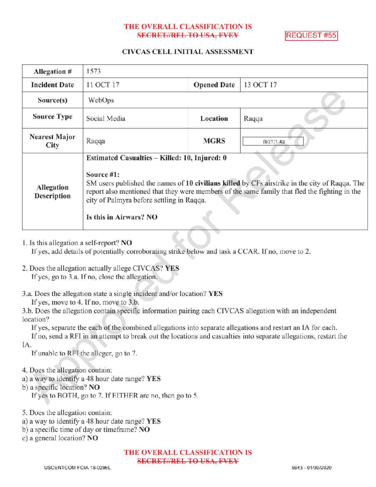## THE OVERALL CLASSIFICATION IS **SECRET//REL TO USA, FVEY REQUEST #55**

## CIVCAS CELL INITIAL ASSESSMENT

| Allegation #                     | 1573                                                                                                                                                                                                                                                                                                                                  |                    |            |
|----------------------------------|---------------------------------------------------------------------------------------------------------------------------------------------------------------------------------------------------------------------------------------------------------------------------------------------------------------------------------------|--------------------|------------|
| <b>Incident Date</b>             | 11 OCT 17                                                                                                                                                                                                                                                                                                                             | <b>Opened Date</b> | 13 OCT 17  |
| Source(s)                        | <b>WebOps</b>                                                                                                                                                                                                                                                                                                                         |                    |            |
| <b>Source Type</b>               | Social Media                                                                                                                                                                                                                                                                                                                          | Location           | Raqqa      |
| <b>Nearest Major</b><br>City     | Raqqa                                                                                                                                                                                                                                                                                                                                 | <b>MGRS</b>        | (b)(1)1.4a |
| Allegation<br><b>Description</b> | Estimated Casualties - Killed: 10, Injured: 0<br>Source #1:<br>SM users published the names of 10 civilians killed by CFs airstrike in the city of Raqqa. The<br>report also mentioned that they were members of the same family that fled the fighting in the<br>city of Palmyra before settling in Raqqa.<br>Is this in Airwars? NO |                    |            |

1. Is this allegation a self-report? NO

If yes, add details of potentially corroborating strike below and task a CCAR. If no, move to 2.

- 2. Does the allegation actually allege CIVCAS? YES If yes, go to 3.a. If no, close the allegation.
- 3.a. Does the allegation state a single incident and/or location? YES

If yes, move to 4. If no, move to 3.b.

3.b. Does the allegation contain specific information pairing each CIVCAS allegation with an independent location?

If yes, separate the each of the combined allegations into separate allegations and restart an IA for each.

If no, send a RFI in an attempt to break out the locations and casualties into separate allegations, restart the IA

If unable to RFI the alleger, go to 7.

- 4. Does the allegation contain:
- a) <sup>a</sup> way to identify a 48 hour date range? YES
- b) a specific location? NO

If yes to BOTH, go to 7. If EITHER are no, then go to 5.

5. Does the allegation contain:

- a) <sup>a</sup> way to identify <sup>a</sup> 48 hour date range? YES
- b) a specific time of day or timeframe? NO

c) a general location? NO

THE OVERALL CLASSIFICATION IS **SECRET//REL TO USA, FVEY**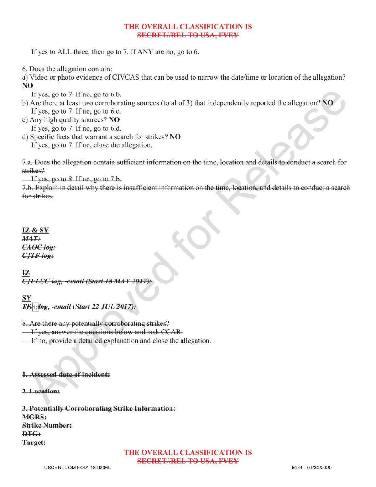# THE OVERALL CLASSIFICATION IS **SECRET//REL TO USA, FVEY**

If yes to ALL three, then go to 7. If ANY are no, go to 6.

6. Does the allegation contain:

a) Video or photo evidence of CIVCAS that can be used to narrow the date/time or location of the allegation? NO

If yes, go to 7. If no, go to 6.b.

- b) Are there at least two corroborating sources (total of 3) that independently reported the allegation? NO If yes, go to  $7.$  If no, go to 6.c.
- c) Any high quality sources? NO If yes, go to 7. If no, go to 6.d.
- d) Specific facts that warrant a search for strikes? NO If yes, go to 7. If no, close the allegation.

7.a. Does the allegation contain sufficient information on the time, location and details to conduct a search for strikes?

 $\overline{\phantom{a}}$  If yes, go to 8. If no, go to 7.b.

7.b. Explain in detail why there is insufficient information on the time, location, and details to conduct a search for strikes for

**IZ & SY**  $MAT:$ CAOC log:  $CJTF$  log:

CIFLCC log. -email (Start 18 MAY 2017):

 $\overline{I}\times\{1\}$ leg. -email (Start 22 JUL 2017):

8. Are there any potentially corroborating strikes?

Ifyes, answer the questions below and task CCAR .

If no, provide a detailed explanation and close the allegation.

# 1. Assessed date of incident:

2.Location:

3. Potentially Corroborating Strike Information: MGRS: **Strike Number:**  $DTG:$ Target:

> THE OVERALL CLASSIFICATION IS **SECRET//REL TO USA, FVEY**